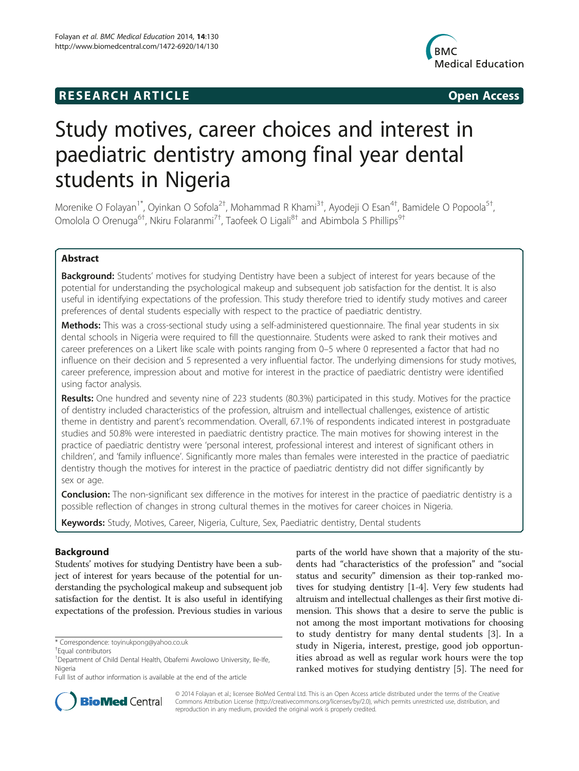# **RESEARCH ARTICLE Example 2014 12:30 The SEAR CHA RESEARCH ARTICLE**



# Study motives, career choices and interest in paediatric dentistry among final year dental students in Nigeria

Morenike O Folayan<sup>1\*</sup>, Oyinkan O Sofola<sup>2†</sup>, Mohammad R Khami<sup>3†</sup>, Ayodeji O Esan<sup>4†</sup>, Bamidele O Popoola<sup>5†</sup> , Omolola O Orenuga<sup>6†</sup>, Nkiru Folaranmi<sup>7†</sup>, Taofeek O Ligali<sup>8†</sup> and Abimbola S Phillips<sup>9†</sup>

# Abstract

**Background:** Students' motives for studying Dentistry have been a subject of interest for years because of the potential for understanding the psychological makeup and subsequent job satisfaction for the dentist. It is also useful in identifying expectations of the profession. This study therefore tried to identify study motives and career preferences of dental students especially with respect to the practice of paediatric dentistry.

Methods: This was a cross-sectional study using a self-administered questionnaire. The final year students in six dental schools in Nigeria were required to fill the questionnaire. Students were asked to rank their motives and career preferences on a Likert like scale with points ranging from 0–5 where 0 represented a factor that had no influence on their decision and 5 represented a very influential factor. The underlying dimensions for study motives, career preference, impression about and motive for interest in the practice of paediatric dentistry were identified using factor analysis.

Results: One hundred and seventy nine of 223 students (80.3%) participated in this study. Motives for the practice of dentistry included characteristics of the profession, altruism and intellectual challenges, existence of artistic theme in dentistry and parent's recommendation. Overall, 67.1% of respondents indicated interest in postgraduate studies and 50.8% were interested in paediatric dentistry practice. The main motives for showing interest in the practice of paediatric dentistry were 'personal interest, professional interest and interest of significant others in children', and 'family influence'. Significantly more males than females were interested in the practice of paediatric dentistry though the motives for interest in the practice of paediatric dentistry did not differ significantly by sex or age.

Conclusion: The non-significant sex difference in the motives for interest in the practice of paediatric dentistry is a possible reflection of changes in strong cultural themes in the motives for career choices in Nigeria.

Keywords: Study, Motives, Career, Nigeria, Culture, Sex, Paediatric dentistry, Dental students

# Background

Students' motives for studying Dentistry have been a subject of interest for years because of the potential for understanding the psychological makeup and subsequent job satisfaction for the dentist. It is also useful in identifying expectations of the profession. Previous studies in various

\* Correspondence: [toyinukpong@yahoo.co.uk](mailto:toyinukpong@yahoo.co.uk) †

parts of the world have shown that a majority of the students had "characteristics of the profession" and "social status and security" dimension as their top-ranked motives for studying dentistry [[1-4\]](#page-9-0). Very few students had altruism and intellectual challenges as their first motive dimension. This shows that a desire to serve the public is not among the most important motivations for choosing to study dentistry for many dental students [[3](#page-9-0)]. In a study in Nigeria, interest, prestige, good job opportunities abroad as well as regular work hours were the top ranked motives for studying dentistry [[5\]](#page-9-0). The need for



© 2014 Folayan et al.; licensee BioMed Central Ltd. This is an Open Access article distributed under the terms of the Creative Commons Attribution License [\(http://creativecommons.org/licenses/by/2.0\)](http://creativecommons.org/licenses/by/2.0), which permits unrestricted use, distribution, and reproduction in any medium, provided the original work is properly credited.

Equal contributors

<sup>&</sup>lt;sup>1</sup>Department of Child Dental Health, Obafemi Awolowo University, Ile-Ife, Nigeria

Full list of author information is available at the end of the article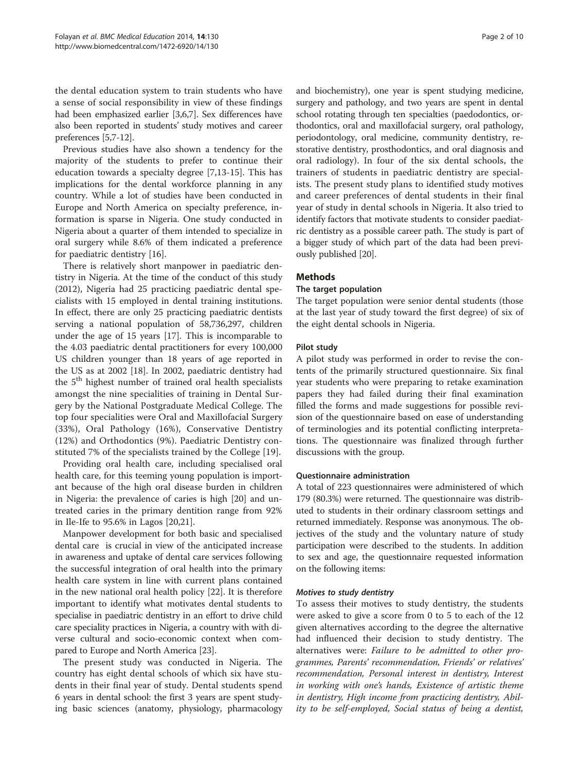the dental education system to train students who have a sense of social responsibility in view of these findings had been emphasized earlier [\[3,6,7](#page-9-0)]. Sex differences have also been reported in students' study motives and career preferences [\[5,7-12\]](#page-9-0).

Previous studies have also shown a tendency for the majority of the students to prefer to continue their education towards a specialty degree [\[7,13](#page-9-0)-[15](#page-9-0)]. This has implications for the dental workforce planning in any country. While a lot of studies have been conducted in Europe and North America on specialty preference, information is sparse in Nigeria. One study conducted in Nigeria about a quarter of them intended to specialize in oral surgery while 8.6% of them indicated a preference for paediatric dentistry [\[16\]](#page-9-0).

There is relatively short manpower in paediatric dentistry in Nigeria. At the time of the conduct of this study (2012), Nigeria had 25 practicing paediatric dental specialists with 15 employed in dental training institutions. In effect, there are only 25 practicing paediatric dentists serving a national population of 58,736,297, children under the age of 15 years [[17\]](#page-9-0). This is incomparable to the 4.03 paediatric dental practitioners for every 100,000 US children younger than 18 years of age reported in the US as at 2002 [\[18](#page-9-0)]. In 2002, paediatric dentistry had the 5<sup>th</sup> highest number of trained oral health specialists amongst the nine specialities of training in Dental Surgery by the National Postgraduate Medical College. The top four specialities were Oral and Maxillofacial Surgery (33%), Oral Pathology (16%), Conservative Dentistry (12%) and Orthodontics (9%). Paediatric Dentistry constituted 7% of the specialists trained by the College [[19\]](#page-9-0).

Providing oral health care, including specialised oral health care, for this teeming young population is important because of the high oral disease burden in children in Nigeria: the prevalence of caries is high [[20\]](#page-9-0) and untreated caries in the primary dentition range from 92% in Ile-Ife to 95.6% in Lagos [[20,21](#page-9-0)].

Manpower development for both basic and specialised dental care is crucial in view of the anticipated increase in awareness and uptake of dental care services following the successful integration of oral health into the primary health care system in line with current plans contained in the new national oral health policy [[22](#page-9-0)]. It is therefore important to identify what motivates dental students to specialise in paediatric dentistry in an effort to drive child care speciality practices in Nigeria, a country with with diverse cultural and socio-economic context when compared to Europe and North America [[23\]](#page-9-0).

The present study was conducted in Nigeria. The country has eight dental schools of which six have students in their final year of study. Dental students spend 6 years in dental school: the first 3 years are spent studying basic sciences (anatomy, physiology, pharmacology

and biochemistry), one year is spent studying medicine, surgery and pathology, and two years are spent in dental school rotating through ten specialties (paedodontics, orthodontics, oral and maxillofacial surgery, oral pathology, periodontology, oral medicine, community dentistry, restorative dentistry, prosthodontics, and oral diagnosis and oral radiology). In four of the six dental schools, the trainers of students in paediatric dentistry are specialists. The present study plans to identified study motives and career preferences of dental students in their final year of study in dental schools in Nigeria. It also tried to identify factors that motivate students to consider paediatric dentistry as a possible career path. The study is part of a bigger study of which part of the data had been previously published [\[20](#page-9-0)].

# **Methods**

#### The target population

The target population were senior dental students (those at the last year of study toward the first degree) of six of the eight dental schools in Nigeria.

#### Pilot study

A pilot study was performed in order to revise the contents of the primarily structured questionnaire. Six final year students who were preparing to retake examination papers they had failed during their final examination filled the forms and made suggestions for possible revision of the questionnaire based on ease of understanding of terminologies and its potential conflicting interpretations. The questionnaire was finalized through further discussions with the group.

#### Questionnaire administration

A total of 223 questionnaires were administered of which 179 (80.3%) were returned. The questionnaire was distributed to students in their ordinary classroom settings and returned immediately. Response was anonymous. The objectives of the study and the voluntary nature of study participation were described to the students. In addition to sex and age, the questionnaire requested information on the following items:

#### Motives to study dentistry

To assess their motives to study dentistry, the students were asked to give a score from 0 to 5 to each of the 12 given alternatives according to the degree the alternative had influenced their decision to study dentistry. The alternatives were: Failure to be admitted to other programmes, Parents' recommendation, Friends' or relatives' recommendation, Personal interest in dentistry, Interest in working with one's hands, Existence of artistic theme in dentistry, High income from practicing dentistry, Ability to be self-employed, Social status of being a dentist,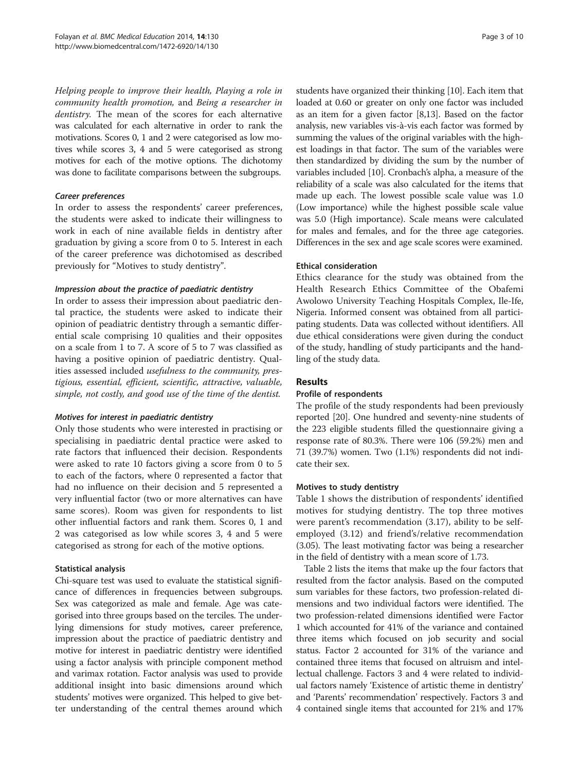Helping people to improve their health, Playing a role in community health promotion, and Being a researcher in dentistry. The mean of the scores for each alternative was calculated for each alternative in order to rank the motivations. Scores 0, 1 and 2 were categorised as low motives while scores 3, 4 and 5 were categorised as strong motives for each of the motive options. The dichotomy was done to facilitate comparisons between the subgroups.

#### Career preferences

In order to assess the respondents' career preferences, the students were asked to indicate their willingness to work in each of nine available fields in dentistry after graduation by giving a score from 0 to 5. Interest in each of the career preference was dichotomised as described previously for "Motives to study dentistry".

# Impression about the practice of paediatric dentistry

In order to assess their impression about paediatric dental practice, the students were asked to indicate their opinion of peadiatric dentistry through a semantic differential scale comprising 10 qualities and their opposites on a scale from 1 to 7. A score of 5 to 7 was classified as having a positive opinion of paediatric dentistry. Qualities assessed included usefulness to the community, prestigious, essential, efficient, scientific, attractive, valuable, simple, not costly, and good use of the time of the dentist.

#### Motives for interest in paediatric dentistry

Only those students who were interested in practising or specialising in paediatric dental practice were asked to rate factors that influenced their decision. Respondents were asked to rate 10 factors giving a score from 0 to 5 to each of the factors, where 0 represented a factor that had no influence on their decision and 5 represented a very influential factor (two or more alternatives can have same scores). Room was given for respondents to list other influential factors and rank them. Scores 0, 1 and 2 was categorised as low while scores 3, 4 and 5 were categorised as strong for each of the motive options.

# Statistical analysis

Chi-square test was used to evaluate the statistical significance of differences in frequencies between subgroups. Sex was categorized as male and female. Age was categorised into three groups based on the terciles. The underlying dimensions for study motives, career preference, impression about the practice of paediatric dentistry and motive for interest in paediatric dentistry were identified using a factor analysis with principle component method and varimax rotation. Factor analysis was used to provide additional insight into basic dimensions around which students' motives were organized. This helped to give better understanding of the central themes around which

students have organized their thinking [\[10\]](#page-9-0). Each item that loaded at 0.60 or greater on only one factor was included as an item for a given factor [\[8,13\]](#page-9-0). Based on the factor analysis, new variables vis-à-vis each factor was formed by summing the values of the original variables with the highest loadings in that factor. The sum of the variables were then standardized by dividing the sum by the number of variables included [[10\]](#page-9-0). Cronbach's alpha, a measure of the reliability of a scale was also calculated for the items that made up each. The lowest possible scale value was 1.0 (Low importance) while the highest possible scale value was 5.0 (High importance). Scale means were calculated for males and females, and for the three age categories. Differences in the sex and age scale scores were examined.

#### Ethical consideration

Ethics clearance for the study was obtained from the Health Research Ethics Committee of the Obafemi Awolowo University Teaching Hospitals Complex, Ile-Ife, Nigeria. Informed consent was obtained from all participating students. Data was collected without identifiers. All due ethical considerations were given during the conduct of the study, handling of study participants and the handling of the study data.

# Results

#### Profile of respondents

The profile of the study respondents had been previously reported [\[20](#page-9-0)]. One hundred and seventy-nine students of the 223 eligible students filled the questionnaire giving a response rate of 80.3%. There were 106 (59.2%) men and 71 (39.7%) women. Two (1.1%) respondents did not indicate their sex.

# Motives to study dentistry

Table [1](#page-3-0) shows the distribution of respondents' identified motives for studying dentistry. The top three motives were parent's recommendation (3.17), ability to be selfemployed (3.12) and friend's/relative recommendation (3.05). The least motivating factor was being a researcher in the field of dentistry with a mean score of 1.73.

Table [2](#page-3-0) lists the items that make up the four factors that resulted from the factor analysis. Based on the computed sum variables for these factors, two profession-related dimensions and two individual factors were identified. The two profession-related dimensions identified were Factor 1 which accounted for 41% of the variance and contained three items which focused on job security and social status. Factor 2 accounted for 31% of the variance and contained three items that focused on altruism and intellectual challenge. Factors 3 and 4 were related to individual factors namely 'Existence of artistic theme in dentistry' and 'Parents' recommendation' respectively. Factors 3 and 4 contained single items that accounted for 21% and 17%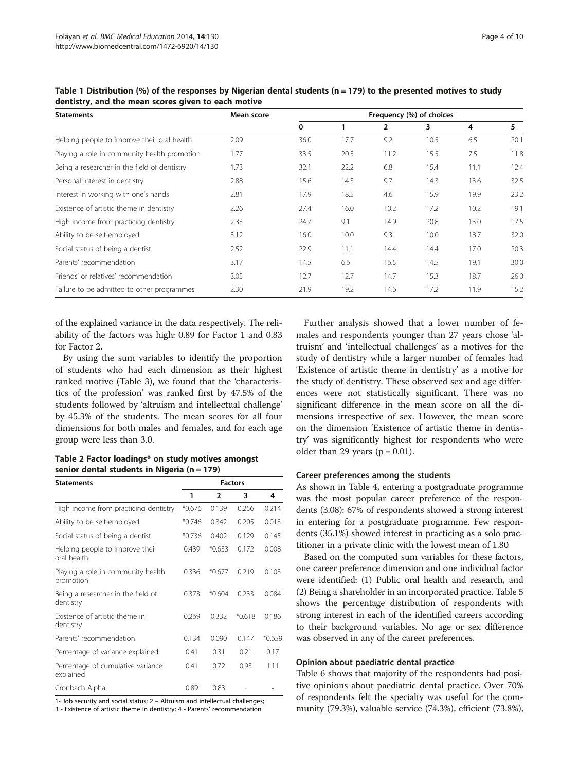| <b>Statements</b>                            | Mean score |      | Frequency (%) of choices |                |      |      |      |  |  |  |  |  |
|----------------------------------------------|------------|------|--------------------------|----------------|------|------|------|--|--|--|--|--|
|                                              |            | 0    |                          | $\overline{2}$ | 3    | 4    | 5    |  |  |  |  |  |
| Helping people to improve their oral health  | 2.09       | 36.0 | 17.7                     | 9.2            | 10.5 | 6.5  | 20.1 |  |  |  |  |  |
| Playing a role in community health promotion | 1.77       | 33.5 | 20.5                     | 11.2           | 15.5 | 7.5  | 11.8 |  |  |  |  |  |
| Being a researcher in the field of dentistry | 1.73       | 32.1 | 22.2                     | 6.8            | 15.4 | 11.1 | 12.4 |  |  |  |  |  |
| Personal interest in dentistry               | 2.88       | 15.6 | 14.3                     | 9.7            | 14.3 | 13.6 | 32.5 |  |  |  |  |  |
| Interest in working with one's hands         | 2.81       | 17.9 | 18.5                     | 4.6            | 15.9 | 19.9 | 23.2 |  |  |  |  |  |
| Existence of artistic theme in dentistry     | 2.26       | 27.4 | 16.0                     | 10.2           | 17.2 | 10.2 | 19.1 |  |  |  |  |  |
| High income from practicing dentistry        | 2.33       | 24.7 | 9.1                      | 14.9           | 20.8 | 13.0 | 17.5 |  |  |  |  |  |
| Ability to be self-employed                  | 3.12       | 16.0 | 10.0                     | 9.3            | 10.0 | 18.7 | 32.0 |  |  |  |  |  |
| Social status of being a dentist             | 2.52       | 22.9 | 11.1                     | 14.4           | 14.4 | 17.0 | 20.3 |  |  |  |  |  |
| Parents' recommendation                      | 3.17       | 14.5 | 6.6                      | 16.5           | 14.5 | 19.1 | 30.0 |  |  |  |  |  |
| Friends' or relatives' recommendation        | 3.05       | 12.7 | 12.7                     | 14.7           | 15.3 | 18.7 | 26.0 |  |  |  |  |  |
| Failure to be admitted to other programmes   | 2.30       | 21.9 | 19.2                     | 14.6           | 17.2 | 11.9 | 15.2 |  |  |  |  |  |

<span id="page-3-0"></span>Table 1 Distribution (%) of the responses by Nigerian dental students ( $n = 179$ ) to the presented motives to study dentistry, and the mean scores given to each motive

of the explained variance in the data respectively. The reliability of the factors was high: 0.89 for Factor 1 and 0.83 for Factor 2.

By using the sum variables to identify the proportion of students who had each dimension as their highest ranked motive (Table [3\)](#page-4-0), we found that the 'characteristics of the profession' was ranked first by 47.5% of the students followed by 'altruism and intellectual challenge' by 45.3% of the students. The mean scores for all four dimensions for both males and females, and for each age group were less than 3.0.

Table 2 Factor loadings\* on study motives amongst senior dental students in Nigeria (n = 179)

| <b>Statements</b>                               | <b>Factors</b> |          |          |        |  |  |  |  |  |
|-------------------------------------------------|----------------|----------|----------|--------|--|--|--|--|--|
|                                                 | 1              | 2        | 3        | 4      |  |  |  |  |  |
| High income from practicing dentistry           | $*0.676$       | 0.139    | 0.256    | 0.214  |  |  |  |  |  |
| Ability to be self-employed                     | $*0.746$       | 0.342    | 0.205    | 0.013  |  |  |  |  |  |
| Social status of being a dentist                | $*0.736$       | 0.402    | 0.129    | 0.145  |  |  |  |  |  |
| Helping people to improve their<br>oral health  | 0.439          | $*0.633$ | 0.172    | 0.008  |  |  |  |  |  |
| Playing a role in community health<br>promotion | 0.336          | $*0.677$ | 0.219    | 0.103  |  |  |  |  |  |
| Being a researcher in the field of<br>dentistry | 0.373          | $*0.604$ | 0.233    | 0.084  |  |  |  |  |  |
| Existence of artistic theme in<br>dentistry     | 0.269          | 0.332    | $*0.618$ | 0.186  |  |  |  |  |  |
| Parents' recommendation                         | 0.134          | 0.090    | 0.147    | *0.659 |  |  |  |  |  |
| Percentage of variance explained                | 0.41           | 0.31     | 0.21     | 0.17   |  |  |  |  |  |
| Percentage of cumulative variance<br>explained  | 0.41           | 0.72     | 0.93     | 1.11   |  |  |  |  |  |
| Cronbach Alpha                                  | 0.89           | 0.83     |          |        |  |  |  |  |  |

1- Job security and social status; 2 – Altruism and intellectual challenges;

3 - Existence of artistic theme in dentistry; 4 - Parents' recommendation.

Further analysis showed that a lower number of females and respondents younger than 27 years chose 'altruism' and 'intellectual challenges' as a motives for the study of dentistry while a larger number of females had 'Existence of artistic theme in dentistry' as a motive for the study of dentistry. These observed sex and age differences were not statistically significant. There was no significant difference in the mean score on all the dimensions irrespective of sex. However, the mean score on the dimension 'Existence of artistic theme in dentistry' was significantly highest for respondents who were older than 29 years ( $p = 0.01$ ).

#### Career preferences among the students

As shown in Table [4](#page-5-0), entering a postgraduate programme was the most popular career preference of the respondents (3.08): 67% of respondents showed a strong interest in entering for a postgraduate programme. Few respondents (35.1%) showed interest in practicing as a solo practitioner in a private clinic with the lowest mean of 1.80

Based on the computed sum variables for these factors, one career preference dimension and one individual factor were identified: (1) Public oral health and research, and (2) Being a shareholder in an incorporated practice. Table [5](#page-5-0) shows the percentage distribution of respondents with strong interest in each of the identified careers according to their background variables. No age or sex difference was observed in any of the career preferences.

#### Opinion about paediatric dental practice

Table [6](#page-6-0) shows that majority of the respondents had positive opinions about paediatric dental practice. Over 70% of respondents felt the specialty was useful for the community (79.3%), valuable service (74.3%), efficient (73.8%),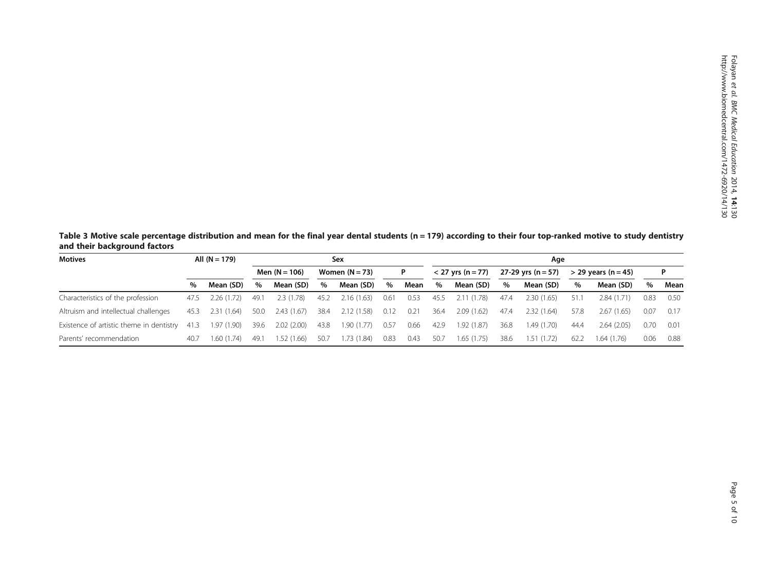<span id="page-4-0"></span>Table 3 Motive scale percentage distribution and mean for the final year dental students (n = 179) according to their four top-ranked motive to study dentistry and their background factors

| <b>Motives</b>                           |      | All $(N = 179)$ | Sex             |            |                  |             |      |      |                     | Age         |                    |                |                       |            |      |      |  |
|------------------------------------------|------|-----------------|-----------------|------------|------------------|-------------|------|------|---------------------|-------------|--------------------|----------------|-----------------------|------------|------|------|--|
|                                          |      |                 | Men $(N = 106)$ |            | Women $(N = 73)$ |             | P    |      | $<$ 27 yrs (n = 77) |             | 27-29 yrs (n = 57) |                | $>$ 29 years (n = 45) |            |      | P    |  |
|                                          | %    | Mean (SD)       | %               | Mean (SD)  | %                | Mean (SD)   | %    | Mean | %                   | Mean (SD)   | %                  | Mean (SD)      | %                     | Mean (SD)  | %    | Mean |  |
| Characteristics of the profession        | 47.5 | 2.26 (1.72)     | 49.1            | 2.3 (1.78) | 45.2             | 2.16(1.63)  | 0.61 | 0.53 | 45.5                | 2.11 (1.78) | 47.4               | 2.30 (1.65)    | 51.1                  | 2.84(1.71) | 0.83 | 0.50 |  |
| Altruism and intellectual challenges     | 45.3 | 2.31 (1.64)     | 50.0            | 2.43(1.67) | 38.4             | 2.12 (1.58) | 0.12 | 0.21 | 36.4                | 2.09(1.62)  | 47.4               | 2.32(1.64)     | 57.8                  | 2.67(1.65) | 0.07 | 0.17 |  |
| Existence of artistic theme in dentistry | 41.3 | 1.97 (1.90)     | 39.6            | 2.02(2.00) | 43.8             | 1.90 (1.77) | 0.57 | 0.66 | 42.9                | 1.92(1.87)  | 36.8               | 1.49 (1.70)    | 44.4                  | 2.64(2.05) | 0.70 | 0.01 |  |
| Parents' recommendation                  | 40.7 | 1.60 (1.74)     | 49.1            | 1.52(1.66) | 50.7             | 1.73 (1.84) | 0.83 | 0.43 | 50.7                | 1.65(1.75)  | 38.6               | (1.72)<br>1.51 | 62.2                  | 1.64(1.76) | 0.06 | 0.88 |  |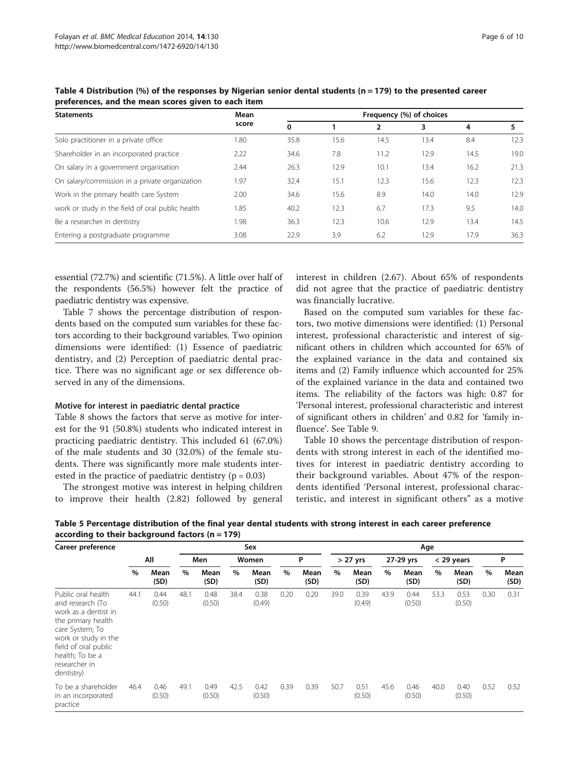| <b>Statements</b>                                | Mean  | Frequency (%) of choices |      |      |      |      |      |  |  |  |  |
|--------------------------------------------------|-------|--------------------------|------|------|------|------|------|--|--|--|--|
|                                                  | score | 0                        |      | 2    | 3    | 4    | 5    |  |  |  |  |
| Solo practitioner in a private office            | 1.80  | 35.8                     | 15.6 | 14.5 | 13.4 | 8.4  | 12.3 |  |  |  |  |
| Shareholder in an incorporated practice          | 2.22  | 34.6                     | 7.8  | 11.2 | 12.9 | 14.5 | 19.0 |  |  |  |  |
| On salary in a government organisation           | 2.44  | 26.3                     | 12.9 | 10.1 | 13.4 | 16.2 | 21.3 |  |  |  |  |
| On salary/commission in a private organization   | 1.97  | 32.4                     | 15.1 | 12.3 | 15.6 | 12.3 | 12.3 |  |  |  |  |
| Work in the primary health care System           | 2.00  | 34.6                     | 15.6 | 8.9  | 14.0 | 14.0 | 12.9 |  |  |  |  |
| work or study in the field of oral public health | 1.85  | 40.2                     | 12.3 | 6.7  | 17.3 | 9.5  | 14.0 |  |  |  |  |
| Be a researcher in dentistry                     | 1.98  | 36.3                     | 12.3 | 10.6 | 12.9 | 13.4 | 14.5 |  |  |  |  |
| Entering a postgraduate programme                | 3.08  | 22.9                     | 3.9  | 6.2  | 12.9 | 17.9 | 36.3 |  |  |  |  |

<span id="page-5-0"></span>Table 4 Distribution (%) of the responses by Nigerian senior dental students (n = 179) to the presented career preferences, and the mean scores given to each item

essential (72.7%) and scientific (71.5%). A little over half of the respondents (56.5%) however felt the practice of paediatric dentistry was expensive.

Table [7](#page-6-0) shows the percentage distribution of respondents based on the computed sum variables for these factors according to their background variables. Two opinion dimensions were identified: (1) Essence of paediatric dentistry, and (2) Perception of paediatric dental practice. There was no significant age or sex difference observed in any of the dimensions.

#### Motive for interest in paediatric dental practice

Table [8](#page-7-0) shows the factors that serve as motive for interest for the 91 (50.8%) students who indicated interest in practicing paediatric dentistry. This included 61 (67.0%) of the male students and 30 (32.0%) of the female students. There was significantly more male students interested in the practice of paediatric dentistry  $(p = 0.03)$ 

The strongest motive was interest in helping children to improve their health (2.82) followed by general interest in children (2.67). About 65% of respondents did not agree that the practice of paediatric dentistry was financially lucrative.

Based on the computed sum variables for these factors, two motive dimensions were identified: (1) Personal interest, professional characteristic and interest of significant others in children which accounted for 65% of the explained variance in the data and contained six items and (2) Family influence which accounted for 25% of the explained variance in the data and contained two items. The reliability of the factors was high: 0.87 for 'Personal interest, professional characteristic and interest of significant others in children' and 0.82 for 'family influence'. See Table [9](#page-7-0).

Table [10](#page-8-0) shows the percentage distribution of respondents with strong interest in each of the identified motives for interest in paediatric dentistry according to their background variables. About 47% of the respondents identified 'Personal interest, professional characteristic, and interest in significant others" as a motive

Table 5 Percentage distribution of the final year dental students with strong interest in each career preference according to their background factors  $(n = 179)$ 

| Career preference                                                                                                                                                                                         |      |                |      |                |      | Sex            |      |              | Age  |                |      |                |              |                |      |              |
|-----------------------------------------------------------------------------------------------------------------------------------------------------------------------------------------------------------|------|----------------|------|----------------|------|----------------|------|--------------|------|----------------|------|----------------|--------------|----------------|------|--------------|
|                                                                                                                                                                                                           | All  |                |      | Men            |      | Women          |      | P            |      | $>27$ yrs      |      | 27-29 yrs      | $<$ 29 years |                | P    |              |
|                                                                                                                                                                                                           | $\%$ | Mean<br>(SD)   | $\%$ | Mean<br>(SD)   | %    | Mean<br>(SD)   | $\%$ | Mean<br>(SD) | $\%$ | Mean<br>(SD)   | $\%$ | Mean<br>(SD)   | %            | Mean<br>(SD)   | %    | Mean<br>(SD) |
| Public oral health<br>and research (To<br>work as a dentist in<br>the primary health<br>care System; To<br>work or study in the<br>field of oral public<br>health; To be a<br>researcher in<br>dentistry) | 44.1 | 0.44<br>(0.50) | 48.1 | 0.48<br>(0.50) | 38.4 | 0.38<br>(0.49) | 0.20 | 0.20         | 39.0 | 0.39<br>(0.49) | 43.9 | 0.44<br>(0.50) | 53.3         | 0.53<br>(0.50) | 0.30 | 0.31         |
| To be a shareholder<br>in an incorporated<br>practice                                                                                                                                                     | 46.4 | 0.46<br>(0.50) | 49.1 | 0.49<br>(0.50) | 42.5 | 0.42<br>(0.50) | 0.39 | 0.39         | 50.7 | 0.51<br>(0.50) | 45.6 | 0.46<br>(0.50) | 40.0         | 0.40<br>(0.50) | 0.52 | 0.52         |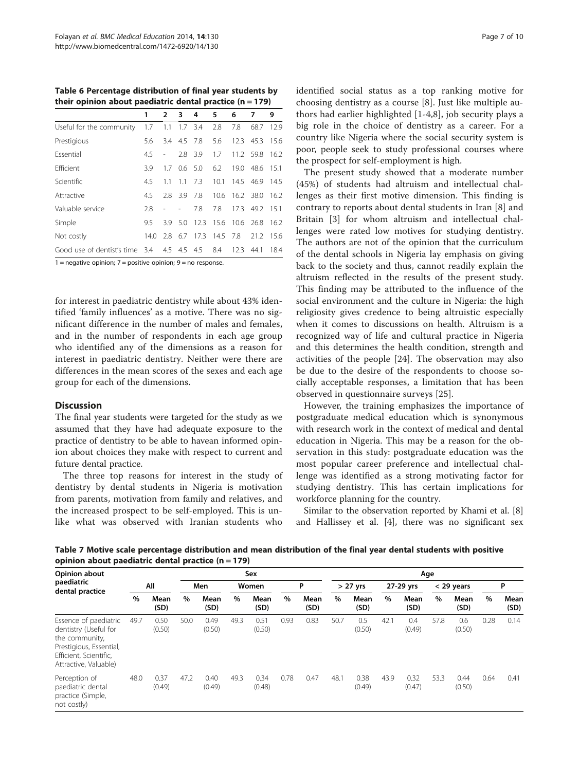<span id="page-6-0"></span>Table 6 Percentage distribution of final year students by their opinion about paediatric dental practice  $(n = 179)$ 

|                                            | 1    | $\mathbf{2}$   | 3           | 4         | 5    | 6    | 7         | 9    |
|--------------------------------------------|------|----------------|-------------|-----------|------|------|-----------|------|
| Useful for the community                   | 1.7  | 1.1            | $1.7$ 3.4   |           | 2.8  | 7.8  | 68.7      | 12.9 |
| Prestigious                                | 5.6  |                | 3.4 4.5 7.8 |           | 5.6  | 12.3 | 45.3      | 15.6 |
| Essential                                  | 4.5  | $\overline{a}$ | 2.8         | 3.9       | 1.7  | 11.2 | 59.8      | 16.2 |
| <b>Ffficient</b>                           | 3.9  | 17             |             | $0.6$ 5.0 | 6.2  | 19.0 | 48.6      | 15.1 |
| Scientific                                 | 4.5  | 1.1            | 1.1         | 7.3       | 10.1 | 14.5 | 46.9      | 14.5 |
| Attractive                                 | 45   | 2.8            | 3.9 7.8     |           | 10.6 | 16.2 | 38.0      | 16.2 |
| Valuable service                           | 2.8  |                |             | 7.8       | 7.8  | 17.3 | 49.2      | 15.1 |
| Simple                                     | 9.5  | 3.9            | 5.0         | 12.3      | 156  | 10.6 | 26.8      | 16.2 |
| Not costly                                 | 14.0 | -2.8           | 6.7         | 17.3      | 14.5 | 7.8  | 21.2      | 15.6 |
| Good use of dentist's time 3.4 4.5 4.5 4.5 |      |                |             |           | 8.4  |      | 12.3 44.1 | 18.4 |

 $1 =$  negative opinion;  $7 =$  positive opinion;  $9 =$  no response.

for interest in paediatric dentistry while about 43% identified 'family influences' as a motive. There was no significant difference in the number of males and females, and in the number of respondents in each age group who identified any of the dimensions as a reason for interest in paediatric dentistry. Neither were there are differences in the mean scores of the sexes and each age group for each of the dimensions.

#### **Discussion**

The final year students were targeted for the study as we assumed that they have had adequate exposure to the practice of dentistry to be able to havean informed opinion about choices they make with respect to current and future dental practice.

The three top reasons for interest in the study of dentistry by dental students in Nigeria is motivation from parents, motivation from family and relatives, and the increased prospect to be self-employed. This is unlike what was observed with Iranian students who identified social status as a top ranking motive for choosing dentistry as a course [\[8](#page-9-0)]. Just like multiple authors had earlier highlighted [[1-4](#page-9-0),[8\]](#page-9-0), job security plays a big role in the choice of dentistry as a career. For a country like Nigeria where the social security system is poor, people seek to study professional courses where the prospect for self-employment is high.

The present study showed that a moderate number (45%) of students had altruism and intellectual challenges as their first motive dimension. This finding is contrary to reports about dental students in Iran [\[8](#page-9-0)] and Britain [[3\]](#page-9-0) for whom altruism and intellectual challenges were rated low motives for studying dentistry. The authors are not of the opinion that the curriculum of the dental schools in Nigeria lay emphasis on giving back to the society and thus, cannot readily explain the altruism reflected in the results of the present study. This finding may be attributed to the influence of the social environment and the culture in Nigeria: the high religiosity gives credence to being altruistic especially when it comes to discussions on health. Altruism is a recognized way of life and cultural practice in Nigeria and this determines the health condition, strength and activities of the people [[24\]](#page-9-0). The observation may also be due to the desire of the respondents to choose socially acceptable responses, a limitation that has been observed in questionnaire surveys [\[25](#page-9-0)].

However, the training emphasizes the importance of postgraduate medical education which is synonymous with research work in the context of medical and dental education in Nigeria. This may be a reason for the observation in this study: postgraduate education was the most popular career preference and intellectual challenge was identified as a strong motivating factor for studying dentistry. This has certain implications for workforce planning for the country.

Similar to the observation reported by Khami et al. [\[8](#page-9-0)] and Hallissey et al. [\[4](#page-9-0)], there was no significant sex

Table 7 Motive scale percentage distribution and mean distribution of the final year dental students with positive opinion about paediatric dental practice (n = 179)

| Opinion about                                                                                                                                  |      | Sex            |      |                |       |                |      |              |            | Age            |           |                |              |                |      |              |  |
|------------------------------------------------------------------------------------------------------------------------------------------------|------|----------------|------|----------------|-------|----------------|------|--------------|------------|----------------|-----------|----------------|--------------|----------------|------|--------------|--|
| paediatric<br>dental practice                                                                                                                  | All  |                | Men  |                | Women |                | P    |              | $> 27$ yrs |                | 27-29 yrs |                | $<$ 29 years |                | P    |              |  |
|                                                                                                                                                | %    | Mean<br>(SD)   | $\%$ | Mean<br>(SD)   | $\%$  | Mean<br>(SD)   | $\%$ | Mean<br>(SD) | $\%$       | Mean<br>(SD)   | $\%$      | Mean<br>(SD)   | $\%$         | Mean<br>(SD)   | $\%$ | Mean<br>(SD) |  |
| Essence of paediatric<br>dentistry (Useful for<br>the community,<br>Prestigious, Essential,<br>Efficient, Scientific,<br>Attractive, Valuable) | 49.7 | 0.50<br>(0.50) | 50.0 | 0.49<br>(0.50) | 49.3  | 0.51<br>(0.50) | 0.93 | 0.83         | 50.7       | 0.5<br>(0.50)  | 42.1      | 0.4<br>(0.49)  | 57.8         | 0.6<br>(0.50)  | 0.28 | 0.14         |  |
| Perception of<br>paediatric dental<br>practice (Simple,<br>not costly)                                                                         | 48.0 | 0.37<br>(0.49) | 47.2 | 0.40<br>(0.49) | 49.3  | 0.34<br>(0.48) | 0.78 | 0.47         | 48.1       | 0.38<br>(0.49) | 43.9      | 0.32<br>(0.47) | 53.3         | 0.44<br>(0.50) | 0.64 | 0.41         |  |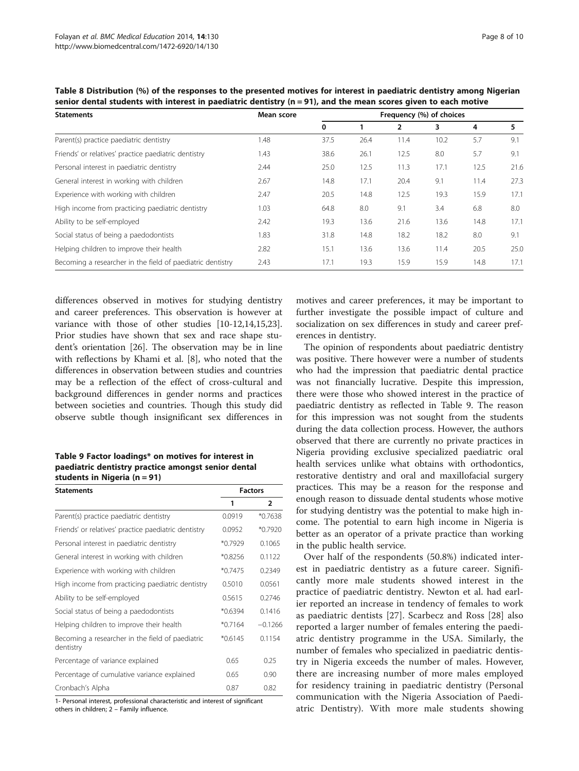| <b>Statements</b>                                          | Mean score | Frequency (%) of choices |      |      |      |      |      |  |  |  |
|------------------------------------------------------------|------------|--------------------------|------|------|------|------|------|--|--|--|
|                                                            |            | 0                        |      | 2    | 3    | 4    | 5    |  |  |  |
| Parent(s) practice paediatric dentistry                    | 1.48       | 37.5                     | 26.4 | 11.4 | 10.2 | 5.7  | 9.1  |  |  |  |
| Friends' or relatives' practice paediatric dentistry       | 1.43       | 38.6                     | 26.1 | 12.5 | 8.0  | 5.7  | 9.1  |  |  |  |
| Personal interest in paediatric dentistry                  | 2.44       | 25.0                     | 12.5 | 11.3 | 17.1 | 12.5 | 21.6 |  |  |  |
| General interest in working with children                  | 2.67       | 14.8                     | 17.1 | 20.4 | 9.1  | 11.4 | 27.3 |  |  |  |
| Experience with working with children                      | 2.47       | 20.5                     | 14.8 | 12.5 | 19.3 | 15.9 | 17.1 |  |  |  |
| High income from practicing paediatric dentistry           | 1.03       | 64.8                     | 8.0  | 9.1  | 3.4  | 6.8  | 8.0  |  |  |  |
| Ability to be self-employed                                | 2.42       | 19.3                     | 13.6 | 21.6 | 13.6 | 14.8 | 17.1 |  |  |  |
| Social status of being a paedodontists                     | 1.83       | 31.8                     | 14.8 | 18.2 | 18.2 | 8.0  | 9.1  |  |  |  |
| Helping children to improve their health                   | 2.82       | 15.1                     | 13.6 | 13.6 | 11.4 | 20.5 | 25.0 |  |  |  |
| Becoming a researcher in the field of paediatric dentistry | 2.43       | 17.1                     | 19.3 | 15.9 | 15.9 | 14.8 | 17.1 |  |  |  |

<span id="page-7-0"></span>Table 8 Distribution (%) of the responses to the presented motives for interest in paediatric dentistry among Nigerian senior dental students with interest in paediatric dentistry ( $n = 91$ ), and the mean scores given to each motive

differences observed in motives for studying dentistry and career preferences. This observation is however at variance with those of other studies [\[10-12,14,15,23](#page-9-0)]. Prior studies have shown that sex and race shape student's orientation [[26\]](#page-9-0). The observation may be in line with reflections by Khami et al. [[8\]](#page-9-0), who noted that the differences in observation between studies and countries may be a reflection of the effect of cross-cultural and background differences in gender norms and practices between societies and countries. Though this study did observe subtle though insignificant sex differences in

# Table 9 Factor loadings\* on motives for interest in paediatric dentistry practice amongst senior dental students in Nigeria (n = 91)

| <b>Statements</b>                                             |           | <b>Factors</b>           |
|---------------------------------------------------------------|-----------|--------------------------|
|                                                               | 1         | $\overline{\phantom{a}}$ |
| Parent(s) practice paediatric dentistry                       | 0.0919    | *0.7638                  |
| Friends' or relatives' practice paediatric dentistry          | 0.0952    | $*0.7920$                |
| Personal interest in paediatric dentistry                     | *0.7929   | 0.1065                   |
| General interest in working with children                     | *0.8256   | 0.1122                   |
| Experience with working with children                         | $*0.7475$ | 0.2349                   |
| High income from practicing paediatric dentistry              | 0.5010    | 0.0561                   |
| Ability to be self-employed                                   | 0.5615    | 0.2746                   |
| Social status of being a paedodontists                        | $*0.6394$ | 0.1416                   |
| Helping children to improve their health                      | $*0.7164$ | $-0.1266$                |
| Becoming a researcher in the field of paediatric<br>dentistry | $*0.6145$ | 0.1154                   |
| Percentage of variance explained                              | 0.65      | 0.25                     |
| Percentage of cumulative variance explained                   | 0.65      | 0.90                     |
| Cronbach's Alpha                                              | 0.87      | 0.82                     |

1- Personal interest, professional characteristic and interest of significant others in children; 2 – Family influence.

motives and career preferences, it may be important to further investigate the possible impact of culture and socialization on sex differences in study and career pref-

erences in dentistry. The opinion of respondents about paediatric dentistry was positive. There however were a number of students who had the impression that paediatric dental practice was not financially lucrative. Despite this impression, there were those who showed interest in the practice of paediatric dentistry as reflected in Table 9. The reason for this impression was not sought from the students during the data collection process. However, the authors observed that there are currently no private practices in Nigeria providing exclusive specialized paediatric oral health services unlike what obtains with orthodontics, restorative dentistry and oral and maxillofacial surgery practices. This may be a reason for the response and enough reason to dissuade dental students whose motive for studying dentistry was the potential to make high income. The potential to earn high income in Nigeria is better as an operator of a private practice than working in the public health service.

Over half of the respondents (50.8%) indicated interest in paediatric dentistry as a future career. Significantly more male students showed interest in the practice of paediatric dentistry. Newton et al. had earlier reported an increase in tendency of females to work as paediatric dentists [[27\]](#page-9-0). Scarbecz and Ross [\[28\]](#page-9-0) also reported a larger number of females entering the paediatric dentistry programme in the USA. Similarly, the number of females who specialized in paediatric dentistry in Nigeria exceeds the number of males. However, there are increasing number of more males employed for residency training in paediatric dentistry (Personal communication with the Nigeria Association of Paediatric Dentistry). With more male students showing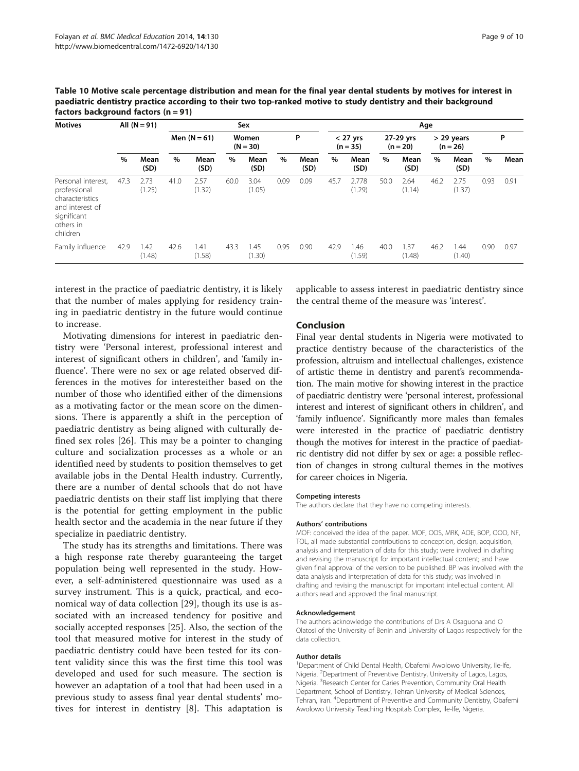<span id="page-8-0"></span>Table 10 Motive scale percentage distribution and mean for the final year dental students by motives for interest in paediatric dentistry practice according to their two top-ranked motive to study dentistry and their background factors background factors (n = 91)

| <b>Motives</b>                                                                                                   | All $(N = 91)$ |                |      |                |      | Sex                 |      |              | Age  |                          |      |                         |      |                          |      |      |
|------------------------------------------------------------------------------------------------------------------|----------------|----------------|------|----------------|------|---------------------|------|--------------|------|--------------------------|------|-------------------------|------|--------------------------|------|------|
|                                                                                                                  |                |                |      | Men $(N = 61)$ |      | Women<br>$(N = 30)$ |      | P            |      | $< 27$ yrs<br>$(n = 35)$ |      | 27-29 yrs<br>$(n = 20)$ |      | > 29 years<br>$(n = 26)$ |      | P    |
|                                                                                                                  | $\%$           | Mean<br>(SD)   | $\%$ | Mean<br>(SD)   | $\%$ | Mean<br>(SD)        | $\%$ | Mean<br>(SD) | $\%$ | Mean<br>(SD)             | $\%$ | Mean<br>(SD)            | $\%$ | Mean<br>(SD)             | $\%$ | Mean |
| Personal interest,<br>professional<br>characteristics<br>and interest of<br>significant<br>others in<br>children | 47.3           | 2.73<br>(1.25) | 41.0 | 2.57<br>(1.32) | 60.0 | 3.04<br>(1.05)      | 0.09 | 0.09         | 45.7 | 2.778<br>(1.29)          | 50.0 | 2.64<br>(1.14)          | 46.2 | 2.75<br>(1.37)           | 0.93 | 0.91 |
| Family influence                                                                                                 | 42.9           | 1.42<br>(1.48) | 42.6 | .41<br>(1.58)  | 43.3 | 1.45<br>(1.30)      | 0.95 | 0.90         | 42.9 | .46<br>(1.59)            | 40.0 | 1.37<br>(1.48)          | 46.2 | 1.44<br>(1.40)           | 0.90 | 0.97 |

interest in the practice of paediatric dentistry, it is likely that the number of males applying for residency training in paediatric dentistry in the future would continue to increase.

Motivating dimensions for interest in paediatric dentistry were 'Personal interest, professional interest and interest of significant others in children', and 'family influence'. There were no sex or age related observed differences in the motives for interesteither based on the number of those who identified either of the dimensions as a motivating factor or the mean score on the dimensions. There is apparently a shift in the perception of paediatric dentistry as being aligned with culturally defined sex roles [[26\]](#page-9-0). This may be a pointer to changing culture and socialization processes as a whole or an identified need by students to position themselves to get available jobs in the Dental Health industry. Currently, there are a number of dental schools that do not have paediatric dentists on their staff list implying that there is the potential for getting employment in the public health sector and the academia in the near future if they specialize in paediatric dentistry.

The study has its strengths and limitations. There was a high response rate thereby guaranteeing the target population being well represented in the study. However, a self-administered questionnaire was used as a survey instrument. This is a quick, practical, and economical way of data collection [\[29](#page-9-0)], though its use is associated with an increased tendency for positive and socially accepted responses [[25\]](#page-9-0). Also, the section of the tool that measured motive for interest in the study of paediatric dentistry could have been tested for its content validity since this was the first time this tool was developed and used for such measure. The section is however an adaptation of a tool that had been used in a previous study to assess final year dental students' motives for interest in dentistry [[8\]](#page-9-0). This adaptation is

applicable to assess interest in paediatric dentistry since the central theme of the measure was 'interest'.

#### Conclusion

Final year dental students in Nigeria were motivated to practice dentistry because of the characteristics of the profession, altruism and intellectual challenges, existence of artistic theme in dentistry and parent's recommendation. The main motive for showing interest in the practice of paediatric dentistry were 'personal interest, professional interest and interest of significant others in children', and 'family influence'. Significantly more males than females were interested in the practice of paediatric dentistry though the motives for interest in the practice of paediatric dentistry did not differ by sex or age: a possible reflection of changes in strong cultural themes in the motives for career choices in Nigeria.

#### Competing interests

The authors declare that they have no competing interests.

#### Authors' contributions

MOF: conceived the idea of the paper. MOF, OOS, MRK, AOE, BOP, OOO, NF, TOL, all made substantial contributions to conception, design, acquisition, analysis and interpretation of data for this study; were involved in drafting and revising the manuscript for important intellectual content; and have given final approval of the version to be published. BP was involved with the data analysis and interpretation of data for this study; was involved in drafting and revising the manuscript for important intellectual content. All authors read and approved the final manuscript.

#### Acknowledgement

The authors acknowledge the contributions of Drs A Osaguona and O Olatosi of the University of Benin and University of Lagos respectively for the data collection.

#### Author details

<sup>1</sup>Department of Child Dental Health, Obafemi Awolowo University, Ile-Ife, Nigeria. <sup>2</sup>Department of Preventive Dentistry, University of Lagos, Lagos, Nigeria. <sup>3</sup> Research Center for Caries Prevention, Community Oral Health Department, School of Dentistry, Tehran University of Medical Sciences, Tehran, Iran. <sup>4</sup>Department of Preventive and Community Dentistry, Obafemi Awolowo University Teaching Hospitals Complex, Ile-Ife, Nigeria.